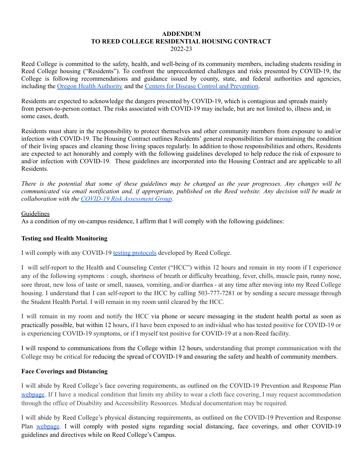#### **ADDENDUM TO REED COLLEGE RESIDENTIAL HOUSING CONTRACT** 2022-23

Reed College is committed to the safety, health, and well-being of its community members, including students residing in Reed College housing ("Residents"). To confront the unprecedented challenges and risks presented by COVID-19, the College is following recommendations and guidance issued by county, state, and federal authorities and agencies, including the Oregon Health [Authority](https://govstatus.egov.com/OR-OHA-COVID-19) and the Centers for Disease Control and [Prevention.](https://www.cdc.gov/coronavirus/2019-ncov/index.html)

Residents are expected to acknowledge the dangers presented by COVID-19, which is contagious and spreads mainly from person-to-person contact. The risks associated with COVID-19 may include, but are not limited to, illness and, in some cases, death.

Residents must share in the responsibility to protect themselves and other community members from exposure to and/or infection with COVID-19. The Housing Contract outlines Residents' general responsibilities for maintaining the condition of their living spaces and cleaning those living spaces regularly. In addition to those responsibilities and others, Residents are expected to act honorably and comply with the following guidelines developed to help reduce the risk of exposure to and/or infection with COVID-19. These guidelines are incorporated into the Housing Contract and are applicable to all Residents.

There is the potential that some of these guidelines may be changed as the year progresses. Any changes will be communicated via email notification and, if appropriate, published on the Reed website. Any decision will be made in *collaboration with the COVID-19 Risk [Assessment](https://www.reed.edu/coronavirus/indicators-for-assessment.html) Group.*

### Guidelines

As a condition of my on-campus residence, I affirm that I will comply with the following guidelines:

# **Testing and Health Monitoring**

I will comply with any COVID-19 testing [protocols](https://www.reed.edu/coronavirus/plan/health-testing-tracing.html#testing) developed by Reed College.

I will self-report to the Health and Counseling Center ("HCC") within 12 hours and remain in my room if I experience any of the following symptoms : cough, shortness of breath or difficulty breathing, fever, chills, muscle pain, runny nose, sore throat, new loss of taste or smell, nausea, vomiting, and/or diarrhea - at any time after moving into my Reed College housing. I understand that I can self-report to the HCC by calling 503-777-7281 or by sending a secure message through the Student Health Portal. I will remain in my room until cleared by the HCC.

I will remain in my room and notify the HCC via phone or secure messaging in the student health portal as soon as practically possible, but within 12 hours, if I have been exposed to an individual who has tested positive for COVID-19 or is experiencing COVID-19 symptoms, or if I myself test positive for COVID-19 at a non-Reed facility.

I will respond to communications from the College within 12 hours, understanding that prompt communication with the College may be critical for reducing the spread of COVID-19 and ensuring the safety and health of community members.

# **Face Coverings and Distancing**

I will abide by Reed College's face covering requirements, as outlined on the COVID-19 Prevention and Response Plan [webpage](https://www.reed.edu/coronavirus/plan/individual-responsibility.html#facecovering). If I have a medical condition that limits my ability to wear a cloth face covering, I may request accommodation through the office of Disability and Accessibility Resources. Medical documentation may be required.

I will abide by Reed College's physical distancing requirements, as outlined on the COVID-19 Prevention and Response Plan [webpage](https://www.reed.edu/coronavirus/plan/individual-responsibility.html#physicaldistancing). I will comply with posted signs regarding social distancing, face coverings, and other COVID-19 guidelines and directives while on Reed College's Campus.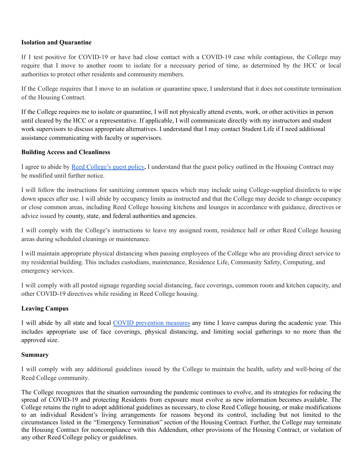### **Isolation and Quarantine**

If I test positive for COVID-19 or have had close contact with a COVID-19 case while contagious, the College may require that I move to another room to isolate for a necessary period of time, as determined by the HCC or local authorities to protect other residents and community members.

If the College requires that I move to an isolation or quarantine space, I understand that it does not constitute termination of the Housing Contract.

If the College requires me to isolate or quarantine, I will not physically attend events, work, or other activities in person until cleared by the HCC or a representative. If applicable, I will communicate directly with my instructors and student work supervisors to discuss appropriate alternatives. I understand that I may contact Student Life if I need additional assistance communicating with faculty or supervisors.

### **Building Access and Cleanliness**

I agree to abide by Reed [College's](https://www.reed.edu/coronavirus/plan/campus-access.html) guest policy**.** I understand that the guest policy outlined in the Housing Contract may be modified until further notice.

I will follow the instructions for sanitizing common spaces which may include using College-supplied disinfects to wipe down spaces after use. I will abide by occupancy limits as instructed and that the College may decide to change occupancy or close common areas, including Reed College housing kitchens and lounges in accordance with guidance, directives or advice issued by county, state, and federal authorities and agencies.

I will comply with the College's instructions to leave my assigned room, residence hall or other Reed College housing areas during scheduled cleanings or maintenance.

I will maintain appropriate physical distancing when passing employees of the College who are providing direct service to my residential building. This includes custodians, maintenance, Residence Life, Community Safety, Computing, and emergency services.

I will comply with all posted signage regarding social distancing, face coverings, common room and kitchen capacity, and other COVID-19 directives while residing in Reed College housing.

# **Leaving Campus**

I will abide by all state and local COVID [prevention](https://sharedsystems.dhsoha.state.or.us/DHSForms/Served/le3461.pdf) measures any time I leave campus during the academic year. This includes appropriate use of face coverings, physical distancing, and limiting social gatherings to no more than the approved size.

#### **Summary**

I will comply with any additional guidelines issued by the College to maintain the health, safety and well-being of the Reed College community.

The College recognizes that the situation surrounding the pandemic continues to evolve, and its strategies for reducing the spread of COVID-19 and protecting Residents from exposure must evolve as new information becomes available. The College retains the right to adopt additional guidelines as necessary, to close Reed College housing, or make modifications to an individual Resident's living arrangements for reasons beyond its control, including but not limited to the circumstances listed in the "Emergency Termination" section of the Housing Contract. Further, the College may terminate the Housing Contract for noncompliance with this Addendum, other provisions of the Housing Contract, or violation of any other Reed College policy or guidelines.